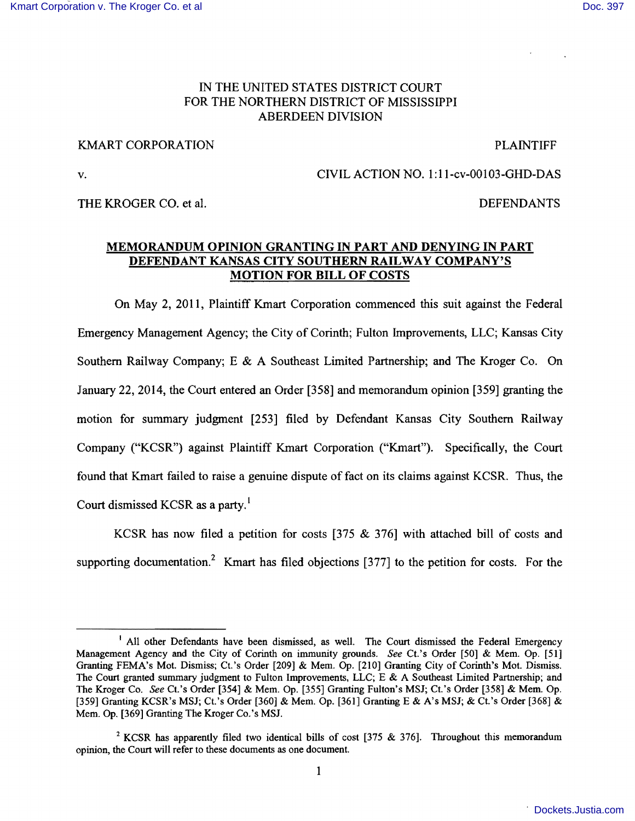## IN THE UNITED STATES DISTRICT COURT FOR THE NORTHERN DISTRICT OF MISSISSIPPI ABERDEEN DIVISION

# KMART CORPORATION **EXECUTE:** The extent of the extent of the extent of the extent of the extent of the extent of the extent of the extent of the extent of the extent of the extent of the extent of the extent of the extent

v. CIVIL ACTION NO. 1:II-cv-00103-GHD-DAS

THE KROGER CO. et al. **DEFENDANTS** 

# MEMORANDUM OPINION GRANTING IN PART AND DENYING IN PART DEFENDANT KANSAS CITY SOUTHERN RAILWAY COMPANY'S MOTION FOR BILL OF COSTS

On May 2, 2011, Plaintiff Kmart Corporation commenced this suit against the Federal Emergency Management Agency; the City of Corinth; Fulton Improvements, LLC; Kansas City Southern Railway Company; E & A Southeast Limited Partnership; and The Kroger Co. On January 22,2014, the Court entered an Order [358] and memorandum opinion [359] granting the motion for summary judgment [253] filed by Defendant Kansas City Southern Railway Company ("KCSR") against Plaintiff Kmart Corporation ("Kmart"). Specifically, the Court found that Kmart failed to raise a genuine dispute of fact on its claims against KCSR. Thus, the Court dismissed KCSR as a party.'

KCSR has now filed a petition for costs [375 & 376] with attached bill of costs and supporting documentation.<sup>2</sup> Kmart has filed objections [377] to the petition for costs. For the

<sup>&</sup>lt;sup>1</sup> All other Defendants have been dismissed, as well. The Court dismissed the Federal Emergency Management Agency and the City of Corinth on immunity grounds. *See* Ct.'s Order [50] & Mem. Op. [51] Granting FEMA's Mot. Dismiss; Ct.'s Order [209] & Mem. Gp. [210] Granting City of Corinth's Mot. Dismiss. The Court granted summary judgment to Fulton Improvements, LLC; E & A Southeast Limited Partnership; and The Kroger Co. *See* Ct.'s Order [354] & Mem. Op. [355] Granting Fulton's MSJ; Ct.'s Order [358] & Mem. Op. [359] Granting KCSR's MSJ; Ct.'s Order [360] & Mem. Op. [361] Granting E & A's MSJ; & Ct.'s Order [368] & Mem. Op. [369] Granting The Kroger Co.'s MSJ.

<sup>&</sup>lt;sup>2</sup> KCSR has apparently filed two identical bills of cost [375  $\&$  376]. Throughout this memorandum opinion, the Court will refer to these documents as one document.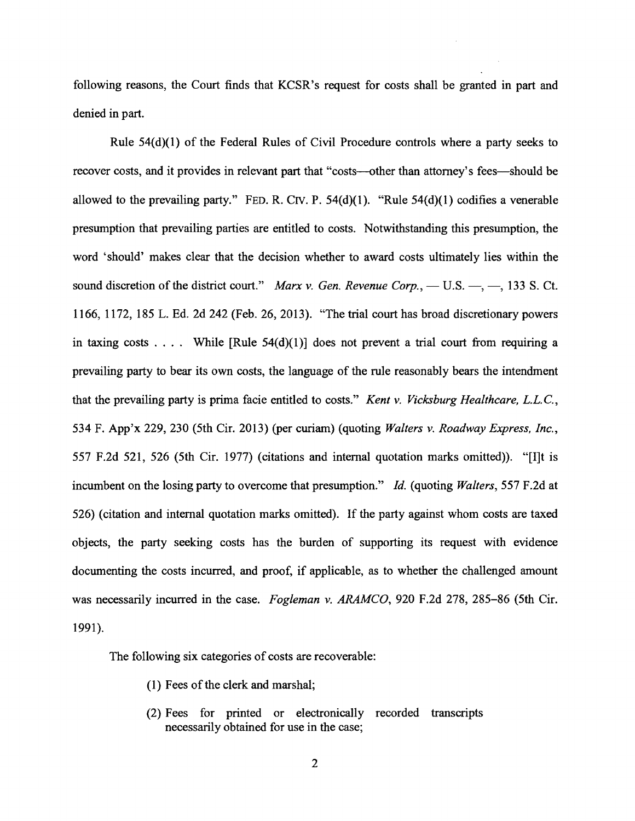following reasons, the Court finds that KCSR's request for costs shall be granted in part and denied in part.

Rule 54(d)(1) of the Federal Rules of Civil Procedure controls where a party seeks to recover costs, and it provides in relevant part that "costs--other than attorney's fees--should be allowed to the prevailing party." FED. R. CIV. P.  $54(d)(1)$ . "Rule  $54(d)(1)$  codifies a venerable presumption that prevailing parties are entitled to costs. Notwithstanding this presumption, the word 'should' makes clear that the decision whether to award costs ultimately lies within the sound discretion of the district court." *Marx v. Gen. Revenue Corp.*, - U.S. -, -, 133 S. Ct. 1166, 1172, 185 L. Ed. 2d 242 (Feb. 26, 2013). "The trial court has broad discretionary powers in taxing costs . . . . While  $[Rule 54(d)(1)]$  does not prevent a trial court from requiring a prevailing party to bear its own costs, the language of the rule reasonably bears the intendment that the prevailing party is prima facie entitled to costs." *Kent v. Vicksburg Healthcare,* L.L.c., 534 F. App'x 229, 230 (5th Cir. 2013) (per curiam) (quoting *Walters v. Roadway Express, Inc.,*  557 F.2d 521, 526 (5th Cir. 1977) (citations and internal quotation marks omitted». "[I]t is incumbent on the losing party to overcome that presumption." *Id.* (quoting *Walters,* 557 F.2d at 526) (citation and internal quotation marks omitted). If the party against whom costs are taxed objects, the party seeking costs has the burden of supporting its request with evidence documenting the costs incurred, and proof, if applicable, as to whether the challenged amount was necessarily incurred in the case. *Fogleman v. ARAMCO,* 920 F.2d 278, 285-86 (5th Cir. 1991).

The following six categories of costs are recoverable:

- (1) Fees of the clerk and marshal;
- (2) Fees for printed or electronically recorded transcripts necessarily obtained for use in the case;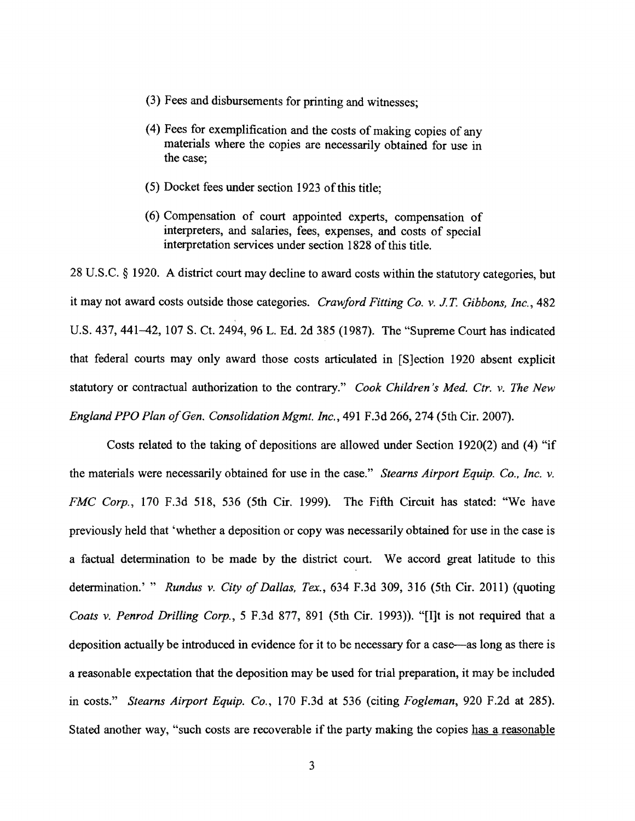- (3) Fees and disbursements for printing and witnesses;
- (4) Fees for exemplification and the costs of making copies of any materials where the copies are necessarily obtained for use in the case;
- (5) Docket fees under section 1923 of this title;
- (6) Compensation of court appointed experts, compensation of interpreters, and salaries, fees, expenses, and costs of special interpretation services under section 1828 of this title.

28 U.S.C. § 1920. A district court may decline to award costs within the statutory categories, but it may not award costs outside those categories. *Crawford Fitting Co.* v. *J.T Gibbons, Inc., 482*  U.S. 437, 441-42, 107 S. Ct. 2494, 96 L. Ed. 2d 385 (1987). The "Supreme Court has indicated that federal courts may only award those costs articulated in [S]ection 1920 absent explicit statutory or contractual authorization to the contrary." *Cook Children's Med. Ctr.* v. *The New England PPO Plan of Gen. Consolidation Mgmt. Inc.*, 491 F.3d 266, 274 (5th Cir. 2007).

Costs related to the taking of depositions are allowed under Section 1920(2) and (4) "if the materials were necessarily obtained for use in the case." *Stearns Airport Equip. Co., Inc.* v. *FMC Corp.,* 170 F.3d 518, 536 (5th Cir. 1999). The Fifth Circuit has stated: "We have previously held that 'whether a deposition or copy was necessarily obtained for use in the case is a factual determination to be made by the district court. We accord great latitude to this determination.' " *Rundus* v. *City of Dallas, Tex.,* 634 F.3d 309, 316 (5th Cir. 2011) (quoting *Coats* v. *Penrod Drilling Corp.,* 5 F.3d 877, 891 (5th Cir. 1993)). "[I]t is not required that a deposition actually be introduced in evidence for it to be necessary for a case--as long as there is a reasonable expectation that the deposition may be used for trial preparation, it may be included in costs." *Stearns Airport Equip. Co.,* 170 F.3d at 536 (citing *Fogleman,* 920 F.2d at 285). Stated another way, "such costs are recoverable if the party making the copies has a reasonable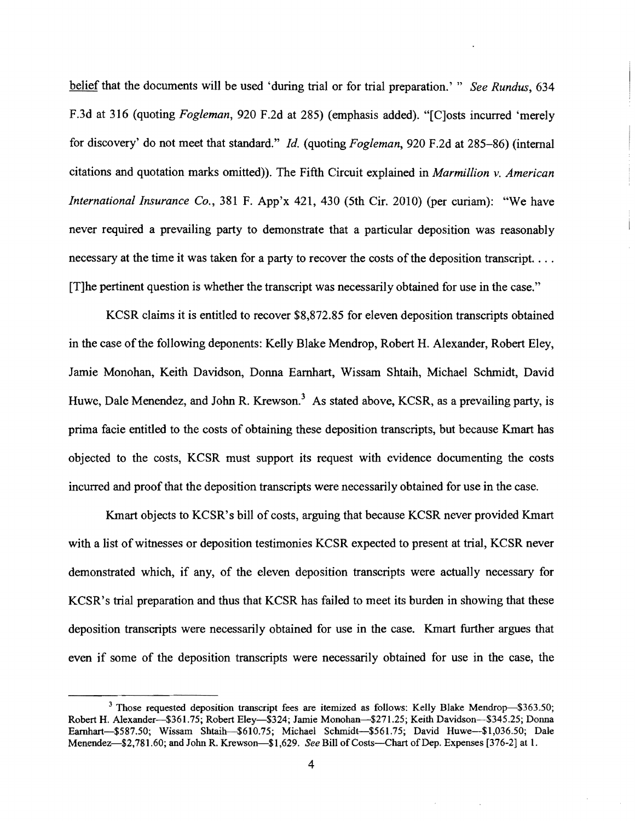belief that the documents will be used 'during trial or for trial preparation.' " *See Rundus, 634*  F.3d at 316 (quoting *Fogleman,* 920 F.2d at 285) (emphasis added). "[C]osts incurred 'merely for discovery' do not meet that standard." *Id.* (quoting *Fogleman,* 920 F.2d at 285-86) (internal citations and quotation marks omitted». The Fifth Circuit explained in *Marmillion* v. *American International Insurance Co.,* 381 F. App'x 421, 430 (5th Cir. 2010) (per curiam): "We have never required a prevailing party to demonstrate that a particular deposition was reasonably necessary at the time it was taken for a party to recover the costs of the deposition transcript.... [T]he pertinent question is whether the transcript was necessarily obtained for use in the case."

KCSR claims it is entitled to recover \$8,872.85 for eleven deposition transcripts obtained in the case of the following deponents: Kelly Blake Mendrop, Robert H. Alexander, Robert Eley, Jamie Monohan, Keith Davidson, Donna Earnhart, Wissam Shtaih, Michael Schmidt, David Huwe, Dale Menendez, and John R. Krewson.<sup>3</sup> As stated above, KCSR, as a prevailing party, is prima facie entitled to the costs of obtaining these deposition transcripts, but because Kmart has objected to the costs, KCSR must support its request with evidence documenting the costs incurred and proof that the deposition transcripts were necessarily obtained for use in the case.

Kmart objects to KCSR's bill of costs, arguing that because KCSR never provided Kmart with a list of witnesses or deposition testimonies KCSR expected to present at trial, KCSR never demonstrated which, if any, of the eleven deposition transcripts were actually necessary for KCSR's trial preparation and thus that KCSR has failed to meet its burden in showing that these deposition transcripts were necessarily obtained for use in the case. Kmart further argues that even if some of the deposition transcripts were necessarily obtained for use in the case, the

<sup>&</sup>lt;sup>3</sup> Those requested deposition transcript fees are itemized as follows: Kelly Blake Mendrop-\$363.50; Robert H. Alexander-\$361.75; Robert Eley-\$324; Jamie Monohan-\$271.25; Keith Davidson-\$345.25; Donna Earnhart-\$587.50; Wissam Shtaih-\$610.75; Michael Schmidt-\$561.75; David Huwe-\$1,036.50; Dale Menendez-\$2,781.60; and John R. Krewson-\$1,629. See Bill of Costs-Chart of Dep. Expenses [376-2] at 1.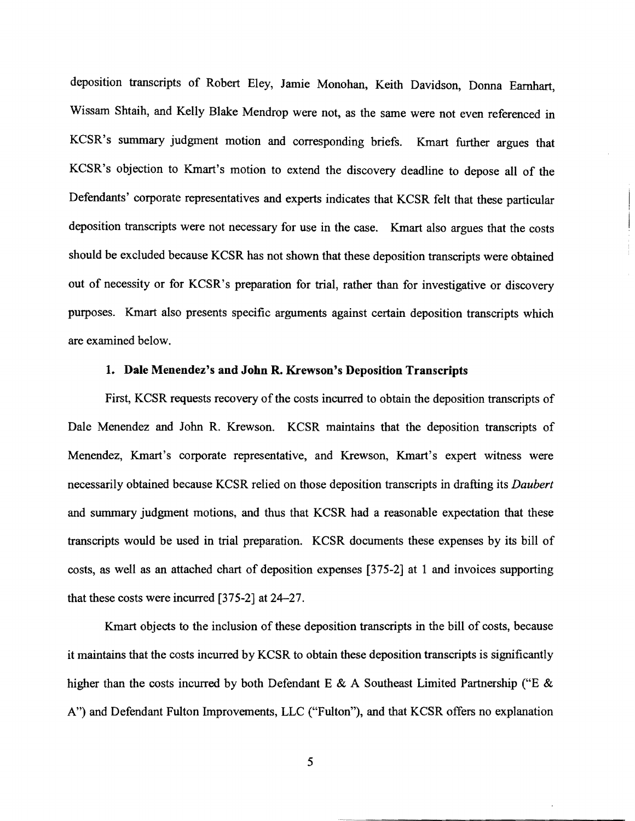deposition transcripts of Robert EIey, Jamie Monohan, Keith Davidson, Donna Earnhart, Wissam Shtaih, and Kelly Blake Mendrop were not, as the same were not even referenced in KCSR's summary judgment motion and corresponding briefs. Kmart further argues that KCSR's objection to Kmart's motion to extend the discovery deadline to depose all of the Defendants' corporate representatives and experts indicates that KCSR felt that these particular deposition transcripts were not necessary for use in the case. Kmart also argues that the costs should be excluded because KCSR has not shown that these deposition transcripts were obtained out of necessity or for KCSR's preparation for trial, rather than for investigative or discovery purposes. Kmart also presents specific arguments against certain deposition transcripts which are examined below.

### 1. Dale Menendez's and John R. Krewson's Deposition Transcripts

First, KCSR requests recovery of the costs incurred to obtain the deposition transcripts of Dale Menendez and John R. Krewson. KCSR maintains that the deposition transcripts of Menendez, Kmart's corporate representative, and Krewson, Kmart's expert witness were necessarily obtained because KCSR relied on those deposition transcripts in drafting its *Daubert*  and summary judgment motions, and thus that KCSR had a reasonable expectation that these transcripts would be used in trial preparation. KCSR documents these expenses by its bill of costs, as well as an attached chart of deposition expenses [375-2] at 1 and invoices supporting that these costs were incurred [375-2] at 24-27.

Kmart objects to the inclusion of these deposition transcripts in the bill of costs, because it maintains that the costs incurred by KCSR to obtain these deposition transcripts is significantly higher than the costs incurred by both Defendant E & A Southeast Limited Partnership ("E & A") and Defendant Fulton Improvements, LLC ("Fulton"), and that KCSR offers no explanation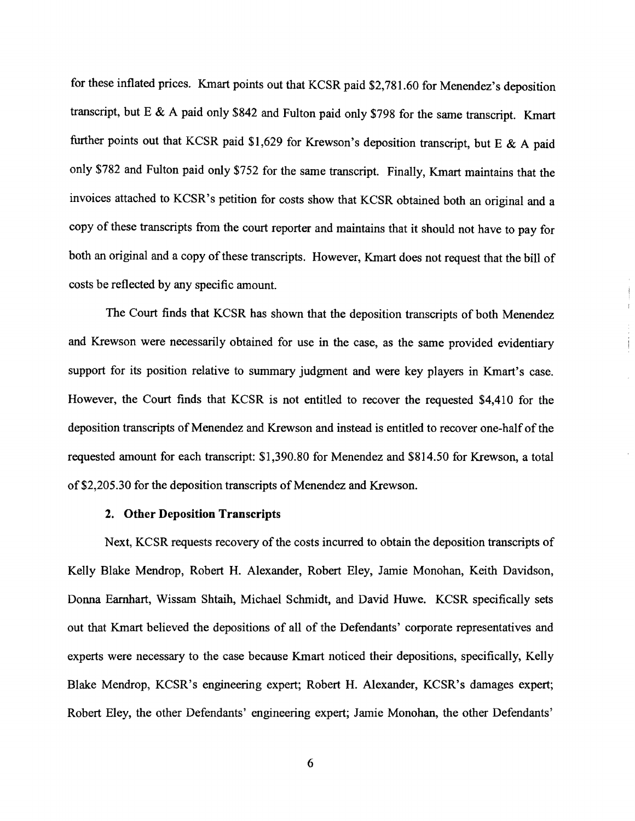for these inflated prices. Kmart points out that KCSR paid \$2,781.60 for Menendez's deposition transcript, but E & A paid only \$842 and Fulton paid only \$798 for the same transcript. Kmart further points out that KCSR paid \$1,629 for Krewson's deposition transcript, but E & A paid only \$782 and Fulton paid only \$752 for the same transcript. Finally, Kmart maintains that the invoices attached to KCSR's petition for costs show that KCSR obtained both an original and a copy of these transcripts from the court reporter and maintains that it should not have to pay for both an original and a copy of these transcripts. However, Kmart does not request that the bill of costs be reflected by any specific amount.

The Court finds that KCSR has shown that the deposition transcripts of both Menendez and Krewson were necessarily obtained for use in the case, as the same provided evidentiary support for its position relative to summary judgment and were key players in Kmart's case. However, the Court finds that KCSR is not entitled to recover the requested \$4,410 for the deposition transcripts of Menendez and Krewson and instead is entitled to recover one-half of the requested amount for each transcript: \$1,390.80 for Menendez and \$814.50 for Krewson, a total of \$2,205.30 for the deposition transcripts of Menendez and Krewson.

### 2. **Other Deposition Transcripts**

Next, KCSR requests recovery of the costs incurred to obtain the deposition transcripts of Kelly Blake Mendrop, Robert H. Alexander, Robert Eley, Jamie Monohan, Keith Davidson, Donna Earnhart, Wissam Shtaih, Michael Schmidt, and David Huwe. KCSR specifically sets out that Kmart believed the depositions of all of the Defendants' corporate representatives and experts were necessary to the case because Kmart noticed their depositions, specifically, Kelly Blake Mendrop, KCSR's engineering expert; Robert H. Alexander, KCSR's damages expert; Robert Eley, the other Defendants' engineering expert; Jamie Monohan, the other Defendants'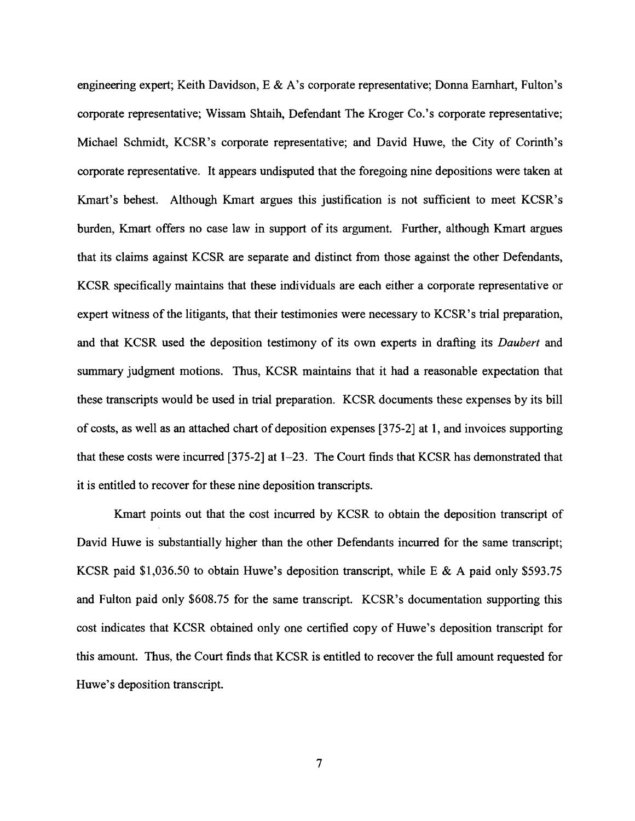engineering expert; Keith Davidson, E & A's corporate representative; Donna Earnhart, Fulton's corporate representative; Wissam Shtaih, Defendant The Kroger Co.'s corporate representative; Michael Schmidt, KCSR's corporate representative; and David Huwe, the City of Corinth's corporate representative. It appears undisputed that the foregoing nine depositions were taken at Kmart's behest. Although Kmart argues this justification is not sufficient to meet KCSR's burden, Kmart offers no case law in support of its argument. Further, although Kmart argues that its claims against KCSR are separate and distinct from those against the other Defendants, KCSR specifically maintains that these individuals are each either a corporate representative or expert witness of the litigants, that their testimonies were necessary to KCSR's trial preparation, and that KCSR used the deposition testimony of its own experts in drafting its *Daubert* and summary judgment motions. Thus, KCSR maintains that it had a reasonable expectation that these transcripts would be used in trial preparation. KCSR documents these expenses by its bill of costs, as well as an attached chart of deposition expenses  $[375-2]$  at 1, and invoices supporting that these costs were incurred [375-2] at 1-23. The Court finds that KCSR has demonstrated that it is entitled to recover for these nine deposition transcripts.

Kmart points out that the cost incurred by KCSR to obtain the deposition transcript of David Huwe is substantially higher than the other Defendants incurred for the same transcript; KCSR paid \$1,036.50 to obtain Huwe's deposition transcript, while E & A paid only \$593.75 and Fulton paid only \$608.75 for the same transcript. KCSR's documentation supporting this cost indicates that KCSR obtained only one certified copy of Huwe's deposition transcript for this amount. Thus, the Court finds that KCSR is entitled to recover the full amount requested for Huwe's deposition transcript.